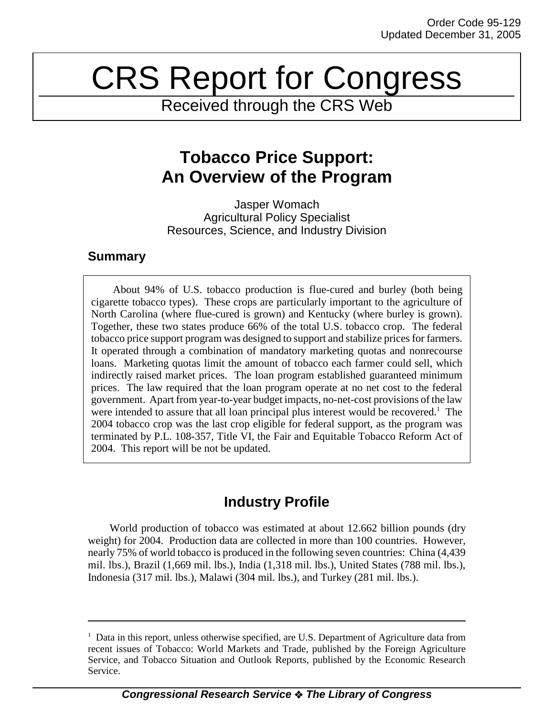# CRS Report for Congress

Received through the CRS Web

# **Tobacco Price Support: An Overview of the Program**

Jasper Womach Agricultural Policy Specialist Resources, Science, and Industry Division

## **Summary**

About 94% of U.S. tobacco production is flue-cured and burley (both being cigarette tobacco types). These crops are particularly important to the agriculture of North Carolina (where flue-cured is grown) and Kentucky (where burley is grown). Together, these two states produce 66% of the total U.S. tobacco crop. The federal tobacco price support program was designed to support and stabilize prices for farmers. It operated through a combination of mandatory marketing quotas and nonrecourse loans. Marketing quotas limit the amount of tobacco each farmer could sell, which indirectly raised market prices. The loan program established guaranteed minimum prices. The law required that the loan program operate at no net cost to the federal government. Apart from year-to-year budget impacts, no-net-cost provisions of the law were intended to assure that all loan principal plus interest would be recovered.<sup>1</sup> The 2004 tobacco crop was the last crop eligible for federal support, as the program was terminated by P.L. 108-357, Title VI, the Fair and Equitable Tobacco Reform Act of 2004. This report will be not be updated.

# **Industry Profile**

World production of tobacco was estimated at about 12.662 billion pounds (dry weight) for 2004. Production data are collected in more than 100 countries. However, nearly 75% of world tobacco is produced in the following seven countries: China (4,439 mil. lbs.), Brazil (1,669 mil. lbs.), India (1,318 mil. lbs.), United States (788 mil. lbs.), Indonesia (317 mil. lbs.), Malawi (304 mil. lbs.), and Turkey (281 mil. lbs.).

<sup>&</sup>lt;sup>1</sup> Data in this report, unless otherwise specified, are U.S. Department of Agriculture data from recent issues of Tobacco: World Markets and Trade, published by the Foreign Agriculture Service, and Tobacco Situation and Outlook Reports, published by the Economic Research Service.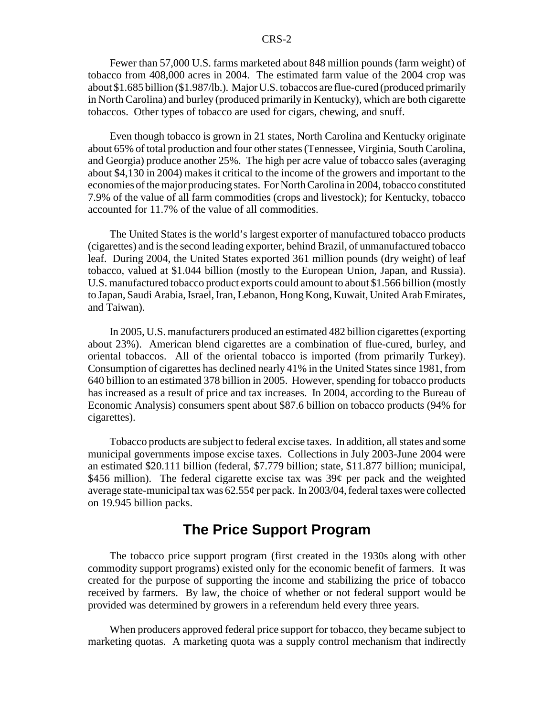Fewer than 57,000 U.S. farms marketed about 848 million pounds (farm weight) of tobacco from 408,000 acres in 2004. The estimated farm value of the 2004 crop was about \$1.685 billion (\$1.987/lb.). Major U.S. tobaccos are flue-cured (produced primarily in North Carolina) and burley (produced primarily in Kentucky), which are both cigarette tobaccos. Other types of tobacco are used for cigars, chewing, and snuff.

Even though tobacco is grown in 21 states, North Carolina and Kentucky originate about 65% of total production and four other states (Tennessee, Virginia, South Carolina, and Georgia) produce another 25%. The high per acre value of tobacco sales (averaging about \$4,130 in 2004) makes it critical to the income of the growers and important to the economies of the major producing states. For North Carolina in 2004, tobacco constituted 7.9% of the value of all farm commodities (crops and livestock); for Kentucky, tobacco accounted for 11.7% of the value of all commodities.

The United States is the world's largest exporter of manufactured tobacco products (cigarettes) and is the second leading exporter, behind Brazil, of unmanufactured tobacco leaf. During 2004, the United States exported 361 million pounds (dry weight) of leaf tobacco, valued at \$1.044 billion (mostly to the European Union, Japan, and Russia). U.S. manufactured tobacco product exports could amount to about \$1.566 billion (mostly to Japan, Saudi Arabia, Israel, Iran, Lebanon, Hong Kong, Kuwait, United Arab Emirates, and Taiwan).

In 2005, U.S. manufacturers produced an estimated 482 billion cigarettes (exporting about 23%). American blend cigarettes are a combination of flue-cured, burley, and oriental tobaccos. All of the oriental tobacco is imported (from primarily Turkey). Consumption of cigarettes has declined nearly 41% in the United States since 1981, from 640 billion to an estimated 378 billion in 2005. However, spending for tobacco products has increased as a result of price and tax increases. In 2004, according to the Bureau of Economic Analysis) consumers spent about \$87.6 billion on tobacco products (94% for cigarettes).

Tobacco products are subject to federal excise taxes. In addition, all states and some municipal governments impose excise taxes. Collections in July 2003-June 2004 were an estimated \$20.111 billion (federal, \$7.779 billion; state, \$11.877 billion; municipal, \$456 million). The federal cigarette excise tax was  $39¢$  per pack and the weighted average state-municipal tax was 62.55¢ per pack. In 2003/04, federal taxes were collected on 19.945 billion packs.

# **The Price Support Program**

The tobacco price support program (first created in the 1930s along with other commodity support programs) existed only for the economic benefit of farmers. It was created for the purpose of supporting the income and stabilizing the price of tobacco received by farmers. By law, the choice of whether or not federal support would be provided was determined by growers in a referendum held every three years.

When producers approved federal price support for tobacco, they became subject to marketing quotas. A marketing quota was a supply control mechanism that indirectly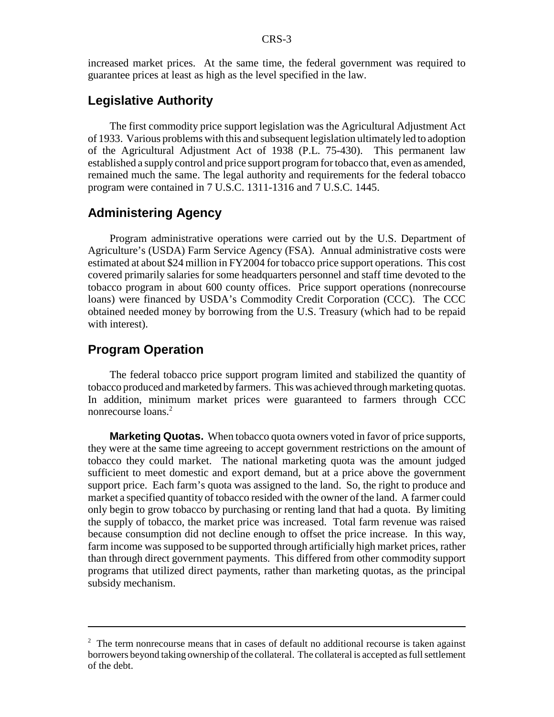increased market prices. At the same time, the federal government was required to guarantee prices at least as high as the level specified in the law.

#### **Legislative Authority**

The first commodity price support legislation was the Agricultural Adjustment Act of 1933. Various problems with this and subsequent legislation ultimately led to adoption of the Agricultural Adjustment Act of 1938 (P.L. 75-430). This permanent law established a supply control and price support program for tobacco that, even as amended, remained much the same. The legal authority and requirements for the federal tobacco program were contained in 7 U.S.C. 1311-1316 and 7 U.S.C. 1445.

#### **Administering Agency**

Program administrative operations were carried out by the U.S. Department of Agriculture's (USDA) Farm Service Agency (FSA). Annual administrative costs were estimated at about \$24 million in FY2004 for tobacco price support operations. This cost covered primarily salaries for some headquarters personnel and staff time devoted to the tobacco program in about 600 county offices. Price support operations (nonrecourse loans) were financed by USDA's Commodity Credit Corporation (CCC). The CCC obtained needed money by borrowing from the U.S. Treasury (which had to be repaid with interest).

#### **Program Operation**

The federal tobacco price support program limited and stabilized the quantity of tobacco produced and marketed by farmers. This was achieved through marketing quotas. In addition, minimum market prices were guaranteed to farmers through CCC nonrecourse loans.<sup>2</sup>

**Marketing Quotas.** When tobacco quota owners voted in favor of price supports, they were at the same time agreeing to accept government restrictions on the amount of tobacco they could market. The national marketing quota was the amount judged sufficient to meet domestic and export demand, but at a price above the government support price. Each farm's quota was assigned to the land. So, the right to produce and market a specified quantity of tobacco resided with the owner of the land. A farmer could only begin to grow tobacco by purchasing or renting land that had a quota. By limiting the supply of tobacco, the market price was increased. Total farm revenue was raised because consumption did not decline enough to offset the price increase. In this way, farm income was supposed to be supported through artificially high market prices, rather than through direct government payments. This differed from other commodity support programs that utilized direct payments, rather than marketing quotas, as the principal subsidy mechanism.

 $2$  The term nonrecourse means that in cases of default no additional recourse is taken against borrowers beyond taking ownership of the collateral. The collateral is accepted as full settlement of the debt.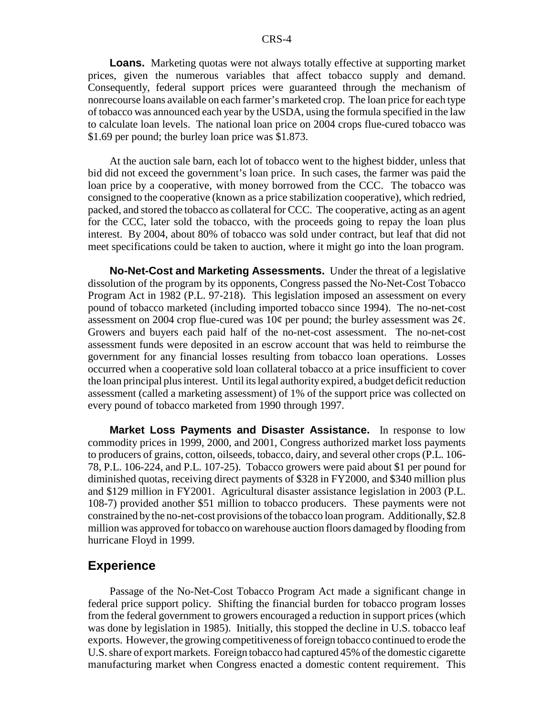**Loans.** Marketing quotas were not always totally effective at supporting market prices, given the numerous variables that affect tobacco supply and demand. Consequently, federal support prices were guaranteed through the mechanism of nonrecourse loans available on each farmer's marketed crop. The loan price for each type of tobacco was announced each year by the USDA, using the formula specified in the law to calculate loan levels. The national loan price on 2004 crops flue-cured tobacco was \$1.69 per pound; the burley loan price was \$1.873.

At the auction sale barn, each lot of tobacco went to the highest bidder, unless that bid did not exceed the government's loan price. In such cases, the farmer was paid the loan price by a cooperative, with money borrowed from the CCC. The tobacco was consigned to the cooperative (known as a price stabilization cooperative), which redried, packed, and stored the tobacco as collateral for CCC. The cooperative, acting as an agent for the CCC, later sold the tobacco, with the proceeds going to repay the loan plus interest. By 2004, about 80% of tobacco was sold under contract, but leaf that did not meet specifications could be taken to auction, where it might go into the loan program.

**No-Net-Cost and Marketing Assessments.** Under the threat of a legislative dissolution of the program by its opponents, Congress passed the No-Net-Cost Tobacco Program Act in 1982 (P.L. 97-218). This legislation imposed an assessment on every pound of tobacco marketed (including imported tobacco since 1994). The no-net-cost assessment on 2004 crop flue-cured was  $10¢$  per pound; the burley assessment was  $2¢$ . Growers and buyers each paid half of the no-net-cost assessment. The no-net-cost assessment funds were deposited in an escrow account that was held to reimburse the government for any financial losses resulting from tobacco loan operations. Losses occurred when a cooperative sold loan collateral tobacco at a price insufficient to cover the loan principal plus interest. Until its legal authority expired, a budget deficit reduction assessment (called a marketing assessment) of 1% of the support price was collected on every pound of tobacco marketed from 1990 through 1997.

**Market Loss Payments and Disaster Assistance.** In response to low commodity prices in 1999, 2000, and 2001, Congress authorized market loss payments to producers of grains, cotton, oilseeds, tobacco, dairy, and several other crops (P.L. 106- 78, P.L. 106-224, and P.L. 107-25). Tobacco growers were paid about \$1 per pound for diminished quotas, receiving direct payments of \$328 in FY2000, and \$340 million plus and \$129 million in FY2001. Agricultural disaster assistance legislation in 2003 (P.L. 108-7) provided another \$51 million to tobacco producers. These payments were not constrained by the no-net-cost provisions of the tobacco loan program. Additionally, \$2.8 million was approved for tobacco on warehouse auction floors damaged by flooding from hurricane Floyd in 1999.

#### **Experience**

Passage of the No-Net-Cost Tobacco Program Act made a significant change in federal price support policy. Shifting the financial burden for tobacco program losses from the federal government to growers encouraged a reduction in support prices (which was done by legislation in 1985). Initially, this stopped the decline in U.S. tobacco leaf exports. However, the growing competitiveness of foreign tobacco continued to erode the U.S. share of export markets. Foreign tobacco had captured 45% of the domestic cigarette manufacturing market when Congress enacted a domestic content requirement. This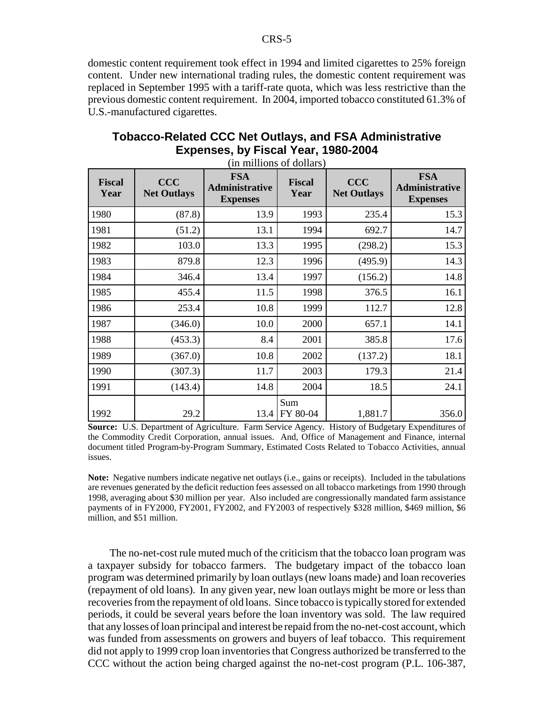domestic content requirement took effect in 1994 and limited cigarettes to 25% foreign content. Under new international trading rules, the domestic content requirement was replaced in September 1995 with a tariff-rate quota, which was less restrictive than the previous domestic content requirement. In 2004, imported tobacco constituted 61.3% of U.S.-manufactured cigarettes.

| <b>Fiscal</b><br>Year | <b>CCC</b><br><b>Net Outlays</b> | <b>FSA</b><br><b>Administrative</b><br><b>Expenses</b> | <b>Fiscal</b><br>Year | <b>CCC</b><br><b>Net Outlays</b> | <b>FSA</b><br><b>Administrative</b><br><b>Expenses</b> |
|-----------------------|----------------------------------|--------------------------------------------------------|-----------------------|----------------------------------|--------------------------------------------------------|
| 1980                  | (87.8)                           | 13.9                                                   | 1993                  | 235.4                            | 15.3                                                   |
| 1981                  | (51.2)                           | 13.1                                                   | 1994                  | 692.7                            | 14.7                                                   |
| 1982                  | 103.0                            | 13.3                                                   | 1995                  | (298.2)                          | 15.3                                                   |
| 1983                  | 879.8                            | 12.3                                                   | 1996                  | (495.9)                          | 14.3                                                   |
| 1984                  | 346.4                            | 13.4                                                   | 1997                  | (156.2)                          | 14.8                                                   |
| 1985                  | 455.4                            | 11.5                                                   | 1998                  | 376.5                            | 16.1                                                   |
| 1986                  | 253.4                            | 10.8                                                   | 1999                  | 112.7                            | 12.8                                                   |
| 1987                  | (346.0)                          | 10.0                                                   | 2000                  | 657.1                            | 14.1                                                   |
| 1988                  | (453.3)                          | 8.4                                                    | 2001                  | 385.8                            | 17.6                                                   |
| 1989                  | (367.0)                          | 10.8                                                   | 2002                  | (137.2)                          | 18.1                                                   |
| 1990                  | (307.3)                          | 11.7                                                   | 2003                  | 179.3                            | 21.4                                                   |
| 1991                  | (143.4)                          | 14.8                                                   | 2004                  | 18.5                             | 24.1                                                   |
| 1992                  | 29.2                             | 13.4                                                   | Sum<br>FY 80-04       | 1,881.7                          | 356.0                                                  |

#### **Tobacco-Related CCC Net Outlays, and FSA Administrative Expenses, by Fiscal Year, 1980-2004** (in millions of dollars)

**Source:** U.S. Department of Agriculture. Farm Service Agency. History of Budgetary Expenditures of the Commodity Credit Corporation, annual issues. And, Office of Management and Finance, internal document titled Program-by-Program Summary, Estimated Costs Related to Tobacco Activities, annual issues.

**Note:** Negative numbers indicate negative net outlays (i.e., gains or receipts). Included in the tabulations are revenues generated by the deficit reduction fees assessed on all tobacco marketings from 1990 through 1998, averaging about \$30 million per year. Also included are congressionally mandated farm assistance payments of in FY2000, FY2001, FY2002, and FY2003 of respectively \$328 million, \$469 million, \$6 million, and \$51 million.

The no-net-cost rule muted much of the criticism that the tobacco loan program was a taxpayer subsidy for tobacco farmers. The budgetary impact of the tobacco loan program was determined primarily by loan outlays (new loans made) and loan recoveries (repayment of old loans). In any given year, new loan outlays might be more or less than recoveries from the repayment of old loans. Since tobacco is typically stored for extended periods, it could be several years before the loan inventory was sold. The law required that any losses of loan principal and interest be repaid from the no-net-cost account, which was funded from assessments on growers and buyers of leaf tobacco. This requirement did not apply to 1999 crop loan inventories that Congress authorized be transferred to the CCC without the action being charged against the no-net-cost program (P.L. 106-387,